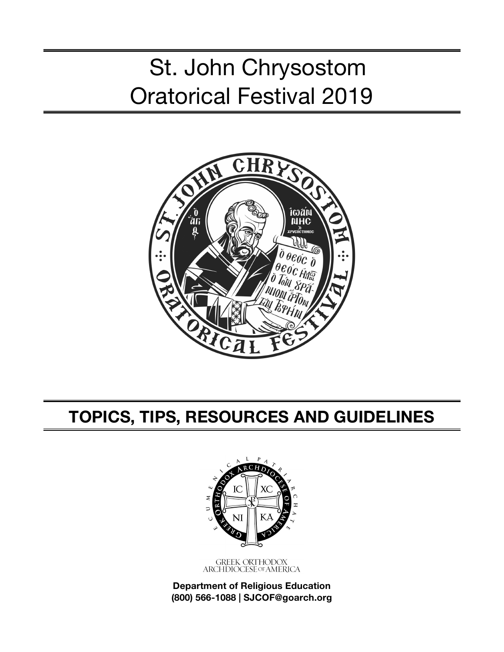# St. John Chrysostom Oratorical Festival 2019



# **TOPICS, TIPS, RESOURCES AND GUIDELINES**



GREEK ORTHODOX<br>ARCHDIOCESE OF AMERICA

**Department of Religious Education (800) 566-1088 | SJCOF@goarch.org**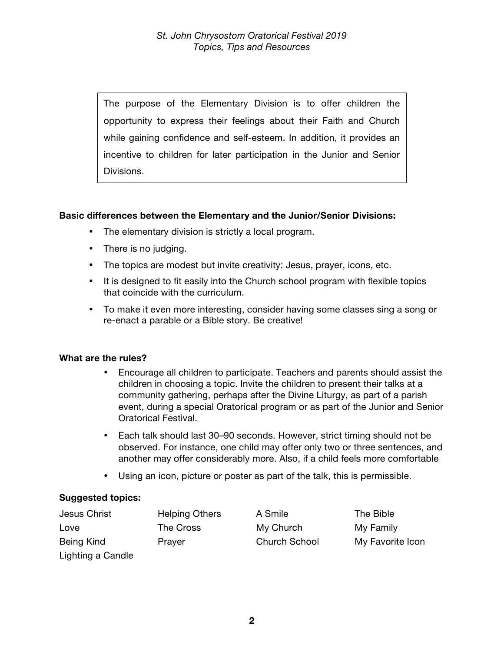The purpose of the Elementary Division is to offer children the opportunity to express their feelings about their Faith and Church while gaining confidence and self-esteem. In addition, it provides an incentive to children for later participation in the Junior and Senior Divisions.

# **Basic differences between the Elementary and the Junior/Senior Divisions:**

- The elementary division is strictly a local program.
- There is no judging.
- The topics are modest but invite creativity: Jesus, prayer, icons, etc.
- It is designed to fit easily into the Church school program with flexible topics that coincide with the curriculum.
- To make it even more interesting, consider having some classes sing a song or re-enact a parable or a Bible story. Be creative!

### **What are the rules?**

- Encourage all children to participate. Teachers and parents should assist the children in choosing a topic. Invite the children to present their talks at a community gathering, perhaps after the Divine Liturgy, as part of a parish event, during a special Oratorical program or as part of the Junior and Senior Oratorical Festival.
- Each talk should last 30–90 seconds. However, strict timing should not be observed. For instance, one child may offer only two or three sentences, and another may offer considerably more. Also, if a child feels more comfortable
- Using an icon, picture or poster as part of the talk, this is permissible.

# **Suggested topics:**

| Jesus Christ      | <b>Helping Others</b> | A Smile              | The Bible        |
|-------------------|-----------------------|----------------------|------------------|
| Love              | The Cross             | My Church            | My Family        |
| Being Kind        | Prayer                | <b>Church School</b> | My Favorite Icon |
| Lighting a Candle |                       |                      |                  |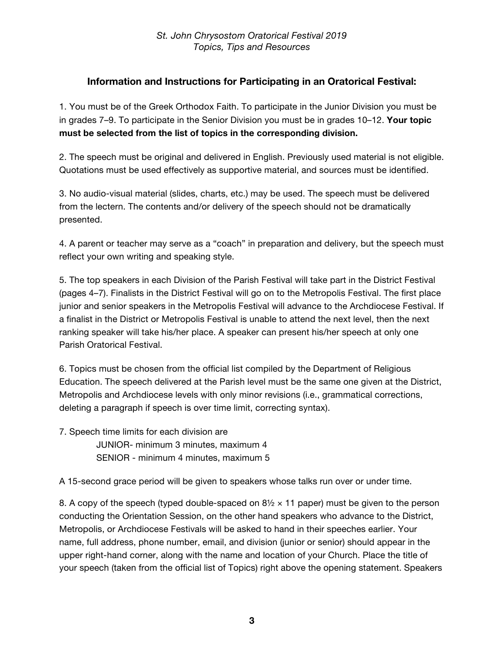# **Information and Instructions for Participating in an Oratorical Festival:**

1. You must be of the Greek Orthodox Faith. To participate in the Junior Division you must be in grades 7–9. To participate in the Senior Division you must be in grades 10–12. **Your topic must be selected from the list of topics in the corresponding division.**

2. The speech must be original and delivered in English. Previously used material is not eligible. Quotations must be used effectively as supportive material, and sources must be identified.

3. No audio-visual material (slides, charts, etc.) may be used. The speech must be delivered from the lectern. The contents and/or delivery of the speech should not be dramatically presented.

4. A parent or teacher may serve as a "coach" in preparation and delivery, but the speech must reflect your own writing and speaking style.

5. The top speakers in each Division of the Parish Festival will take part in the District Festival (pages 4–7). Finalists in the District Festival will go on to the Metropolis Festival. The first place junior and senior speakers in the Metropolis Festival will advance to the Archdiocese Festival. If a finalist in the District or Metropolis Festival is unable to attend the next level, then the next ranking speaker will take his/her place. A speaker can present his/her speech at only one Parish Oratorical Festival.

6. Topics must be chosen from the official list compiled by the Department of Religious Education. The speech delivered at the Parish level must be the same one given at the District, Metropolis and Archdiocese levels with only minor revisions (i.e., grammatical corrections, deleting a paragraph if speech is over time limit, correcting syntax).

7. Speech time limits for each division are JUNIOR- minimum 3 minutes, maximum 4 SENIOR - minimum 4 minutes, maximum 5

A 15-second grace period will be given to speakers whose talks run over or under time.

8. A copy of the speech (typed double-spaced on  $8\frac{1}{2} \times 11$  paper) must be given to the person conducting the Orientation Session, on the other hand speakers who advance to the District, Metropolis, or Archdiocese Festivals will be asked to hand in their speeches earlier. Your name, full address, phone number, email, and division (junior or senior) should appear in the upper right-hand corner, along with the name and location of your Church. Place the title of your speech (taken from the official list of Topics) right above the opening statement. Speakers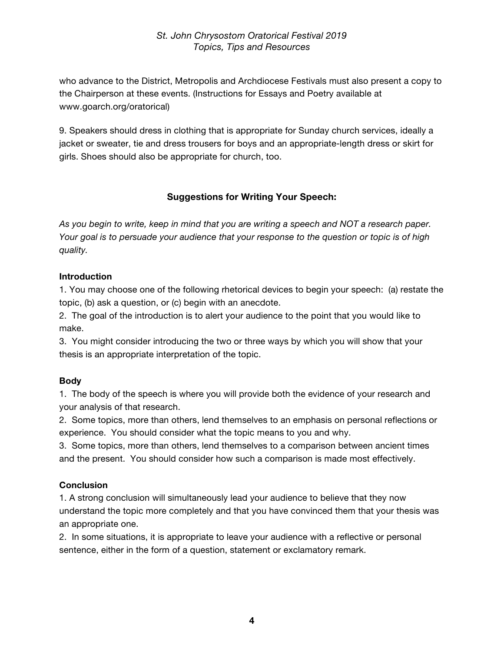who advance to the District, Metropolis and Archdiocese Festivals must also present a copy to the Chairperson at these events. (Instructions for Essays and Poetry available at www.goarch.org/oratorical)

9. Speakers should dress in clothing that is appropriate for Sunday church services, ideally a jacket or sweater, tie and dress trousers for boys and an appropriate-length dress or skirt for girls. Shoes should also be appropriate for church, too.

# **Suggestions for Writing Your Speech:**

*As you begin to write, keep in mind that you are writing a speech and NOT a research paper. Your goal is to persuade your audience that your response to the question or topic is of high quality.*

#### **Introduction**

1. You may choose one of the following rhetorical devices to begin your speech: (a) restate the topic, (b) ask a question, or (c) begin with an anecdote.

2. The goal of the introduction is to alert your audience to the point that you would like to make.

3. You might consider introducing the two or three ways by which you will show that your thesis is an appropriate interpretation of the topic.

### **Body**

1. The body of the speech is where you will provide both the evidence of your research and your analysis of that research.

2. Some topics, more than others, lend themselves to an emphasis on personal reflections or experience. You should consider what the topic means to you and why.

3. Some topics, more than others, lend themselves to a comparison between ancient times and the present. You should consider how such a comparison is made most effectively.

### **Conclusion**

1. A strong conclusion will simultaneously lead your audience to believe that they now understand the topic more completely and that you have convinced them that your thesis was an appropriate one.

2. In some situations, it is appropriate to leave your audience with a reflective or personal sentence, either in the form of a question, statement or exclamatory remark.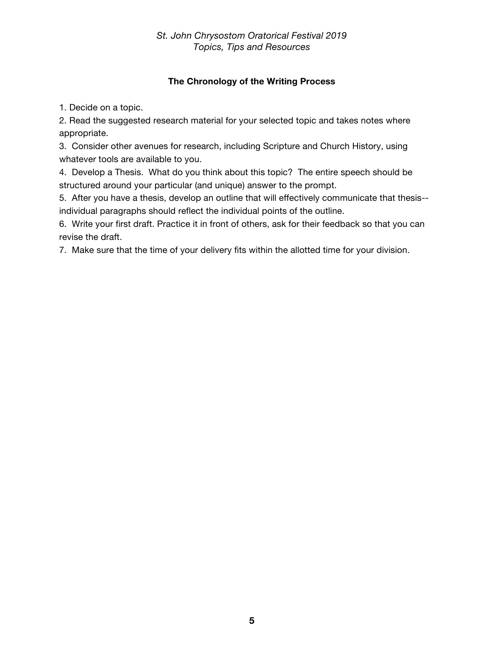# **The Chronology of the Writing Process**

1. Decide on a topic.

2. Read the suggested research material for your selected topic and takes notes where appropriate.

3. Consider other avenues for research, including Scripture and Church History, using whatever tools are available to you.

4. Develop a Thesis. What do you think about this topic? The entire speech should be structured around your particular (and unique) answer to the prompt.

5. After you have a thesis, develop an outline that will effectively communicate that thesis- individual paragraphs should reflect the individual points of the outline.

6. Write your first draft. Practice it in front of others, ask for their feedback so that you can revise the draft.

7. Make sure that the time of your delivery fits within the allotted time for your division.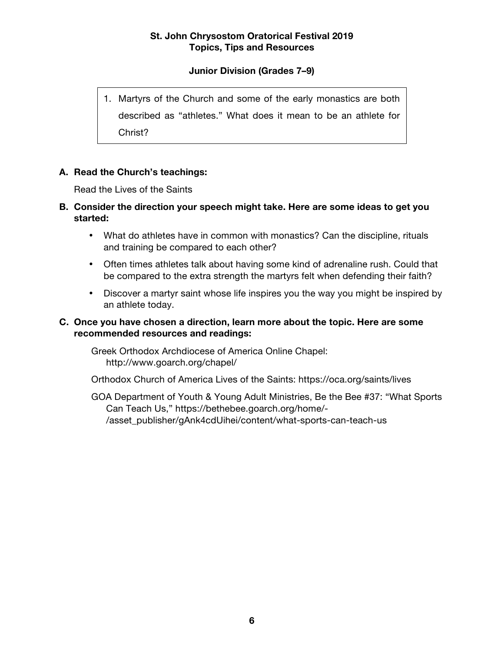# **Junior Division (Grades 7–9)**

1. Martyrs of the Church and some of the early monastics are both described as "athletes." What does it mean to be an athlete for Christ?

### **A. Read the Church's teachings:**

Read the Lives of the Saints

- **B. Consider the direction your speech might take. Here are some ideas to get you started:**
	- What do athletes have in common with monastics? Can the discipline, rituals and training be compared to each other?
	- Often times athletes talk about having some kind of adrenaline rush. Could that be compared to the extra strength the martyrs felt when defending their faith?
	- Discover a martyr saint whose life inspires you the way you might be inspired by an athlete today.

#### **C. Once you have chosen a direction, learn more about the topic. Here are some recommended resources and readings:**

Greek Orthodox Archdiocese of America Online Chapel: http://www.goarch.org/chapel/

Orthodox Church of America Lives of the Saints: https://oca.org/saints/lives

GOA Department of Youth & Young Adult Ministries, Be the Bee #37: "What Sports Can Teach Us," https://bethebee.goarch.org/home/- /asset\_publisher/gAnk4cdUihei/content/what-sports-can-teach-us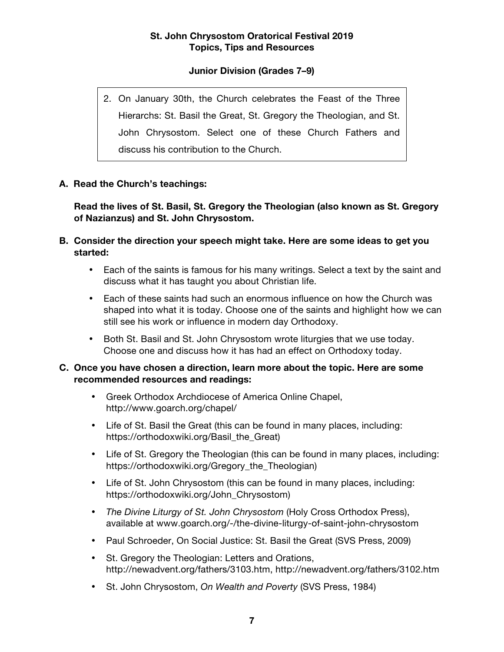# **Junior Division (Grades 7–9)**

2. On January 30th, the Church celebrates the Feast of the Three Hierarchs: St. Basil the Great, St. Gregory the Theologian, and St. John Chrysostom. Select one of these Church Fathers and discuss his contribution to the Church.

# **A. Read the Church's teachings:**

**Read the lives of St. Basil, St. Gregory the Theologian (also known as St. Gregory of Nazianzus) and St. John Chrysostom.**

- **B. Consider the direction your speech might take. Here are some ideas to get you started:**
	- Each of the saints is famous for his many writings. Select a text by the saint and discuss what it has taught you about Christian life.
	- Each of these saints had such an enormous influence on how the Church was shaped into what it is today. Choose one of the saints and highlight how we can still see his work or influence in modern day Orthodoxy.
	- Both St. Basil and St. John Chrysostom wrote liturgies that we use today. Choose one and discuss how it has had an effect on Orthodoxy today.

- Greek Orthodox Archdiocese of America Online Chapel, http://www.goarch.org/chapel/
- Life of St. Basil the Great (this can be found in many places, including: https://orthodoxwiki.org/Basil\_the\_Great)
- Life of St. Gregory the Theologian (this can be found in many places, including: https://orthodoxwiki.org/Gregory\_the\_Theologian)
- Life of St. John Chrysostom (this can be found in many places, including: https://orthodoxwiki.org/John\_Chrysostom)
- *The Divine Liturgy of St. John Chrysostom* (Holy Cross Orthodox Press), available at www.goarch.org/-/the-divine-liturgy-of-saint-john-chrysostom
- Paul Schroeder, On Social Justice: St. Basil the Great (SVS Press, 2009)
- St. Gregory the Theologian: Letters and Orations, http://newadvent.org/fathers/3103.htm, http://newadvent.org/fathers/3102.htm
- St. John Chrysostom, *On Wealth and Poverty* (SVS Press, 1984)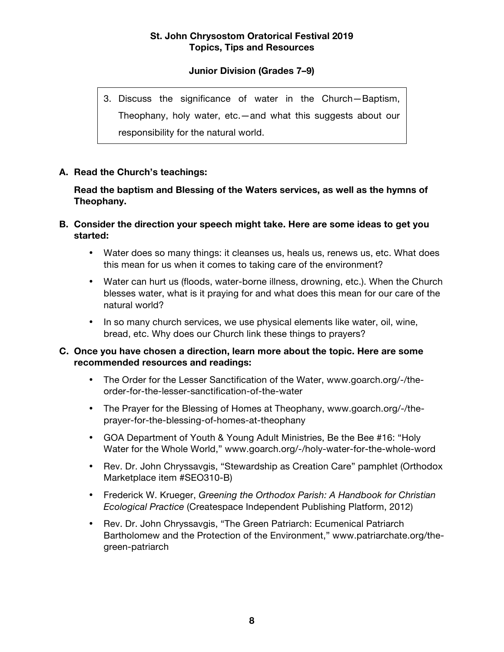# **Junior Division (Grades 7–9)**

3. Discuss the significance of water in the Church—Baptism, Theophany, holy water, etc.—and what this suggests about our responsibility for the natural world.

#### **A. Read the Church's teachings:**

#### **Read the baptism and Blessing of the Waters services, as well as the hymns of Theophany.**

- **B. Consider the direction your speech might take. Here are some ideas to get you started:**
	- Water does so many things: it cleanses us, heals us, renews us, etc. What does this mean for us when it comes to taking care of the environment?
	- Water can hurt us (floods, water-borne illness, drowning, etc.). When the Church blesses water, what is it praying for and what does this mean for our care of the natural world?
	- In so many church services, we use physical elements like water, oil, wine, bread, etc. Why does our Church link these things to prayers?

- The Order for the Lesser Sanctification of the Water, www.goarch.org/-/theorder-for-the-lesser-sanctification-of-the-water
- The Prayer for the Blessing of Homes at Theophany, www.goarch.org/-/theprayer-for-the-blessing-of-homes-at-theophany
- GOA Department of Youth & Young Adult Ministries, Be the Bee #16: "Holy Water for the Whole World," www.goarch.org/-/holy-water-for-the-whole-word
- Rev. Dr. John Chryssavgis, "Stewardship as Creation Care" pamphlet (Orthodox Marketplace item #SEO310-B)
- Frederick W. Krueger, *Greening the Orthodox Parish: A Handbook for Christian Ecological Practice* (Createspace Independent Publishing Platform, 2012)
- Rev. Dr. John Chryssavgis, "The Green Patriarch: Ecumenical Patriarch Bartholomew and the Protection of the Environment," www.patriarchate.org/thegreen-patriarch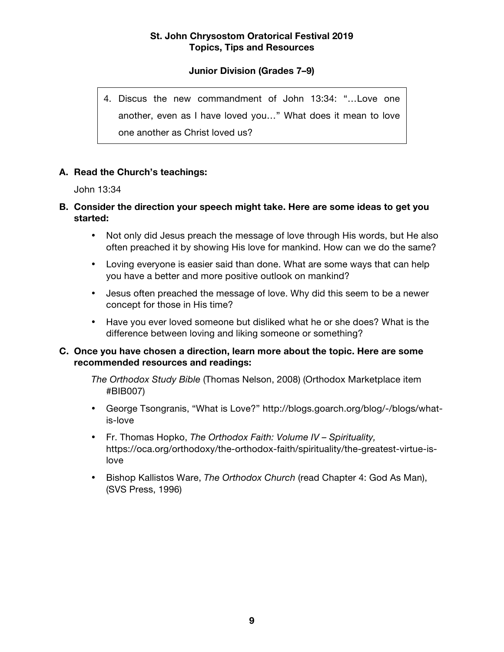# **Junior Division (Grades 7–9)**

4. Discus the new commandment of John 13:34: "…Love one another, even as I have loved you…" What does it mean to love one another as Christ loved us?

#### **A. Read the Church's teachings:**

John 13:34

### **B. Consider the direction your speech might take. Here are some ideas to get you started:**

- Not only did Jesus preach the message of love through His words, but He also often preached it by showing His love for mankind. How can we do the same?
- Loving everyone is easier said than done. What are some ways that can help you have a better and more positive outlook on mankind?
- Jesus often preached the message of love. Why did this seem to be a newer concept for those in His time?
- Have you ever loved someone but disliked what he or she does? What is the difference between loving and liking someone or something?

#### **C. Once you have chosen a direction, learn more about the topic. Here are some recommended resources and readings:**

*The Orthodox Study Bible* (Thomas Nelson, 2008) (Orthodox Marketplace item #BIB007)

- George Tsongranis, "What is Love?" http://blogs.goarch.org/blog/-/blogs/whatis-love
- Fr. Thomas Hopko, *The Orthodox Faith: Volume IV – Spirituality,*  https://oca.org/orthodoxy/the-orthodox-faith/spirituality/the-greatest-virtue-islove
- Bishop Kallistos Ware, *The Orthodox Church* (read Chapter 4: God As Man), (SVS Press, 1996)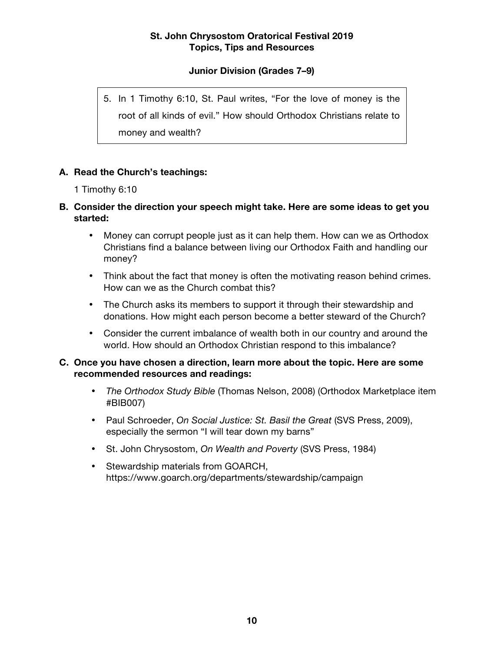# **Junior Division (Grades 7–9)**

5. In 1 Timothy 6:10, St. Paul writes, "For the love of money is the root of all kinds of evil." How should Orthodox Christians relate to money and wealth?

### **A. Read the Church's teachings:**

1 Timothy 6:10

# **B. Consider the direction your speech might take. Here are some ideas to get you started:**

- Money can corrupt people just as it can help them. How can we as Orthodox Christians find a balance between living our Orthodox Faith and handling our money?
- Think about the fact that money is often the motivating reason behind crimes. How can we as the Church combat this?
- The Church asks its members to support it through their stewardship and donations. How might each person become a better steward of the Church?
- Consider the current imbalance of wealth both in our country and around the world. How should an Orthodox Christian respond to this imbalance?

- *The Orthodox Study Bible* (Thomas Nelson, 2008) (Orthodox Marketplace item #BIB007)
- Paul Schroeder, *On Social Justice: St. Basil the Great* (SVS Press, 2009), especially the sermon "I will tear down my barns"
- St. John Chrysostom, *On Wealth and Poverty* (SVS Press, 1984)
- Stewardship materials from GOARCH, https://www.goarch.org/departments/stewardship/campaign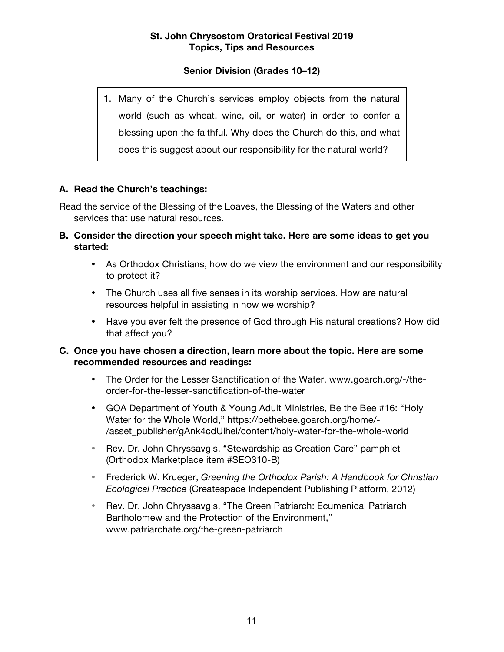# **Senior Division (Grades 10–12)**

1. Many of the Church's services employ objects from the natural world (such as wheat, wine, oil, or water) in order to confer a blessing upon the faithful. Why does the Church do this, and what does this suggest about our responsibility for the natural world?

### **A. Read the Church's teachings:**

Read the service of the Blessing of the Loaves, the Blessing of the Waters and other services that use natural resources.

- **B. Consider the direction your speech might take. Here are some ideas to get you started:**
	- As Orthodox Christians, how do we view the environment and our responsibility to protect it?
	- The Church uses all five senses in its worship services. How are natural resources helpful in assisting in how we worship?
	- Have you ever felt the presence of God through His natural creations? How did that affect you?

- The Order for the Lesser Sanctification of the Water, www.goarch.org/-/theorder-for-the-lesser-sanctification-of-the-water
- GOA Department of Youth & Young Adult Ministries, Be the Bee #16: "Holy Water for the Whole World," https://bethebee.goarch.org/home/- /asset\_publisher/gAnk4cdUihei/content/holy-water-for-the-whole-world
- Rev. Dr. John Chryssavgis, "Stewardship as Creation Care" pamphlet (Orthodox Marketplace item #SEO310-B)
- Frederick W. Krueger, *Greening the Orthodox Parish: A Handbook for Christian Ecological Practice* (Createspace Independent Publishing Platform, 2012)
- Rev. Dr. John Chryssavgis, "The Green Patriarch: Ecumenical Patriarch Bartholomew and the Protection of the Environment," www.patriarchate.org/the-green-patriarch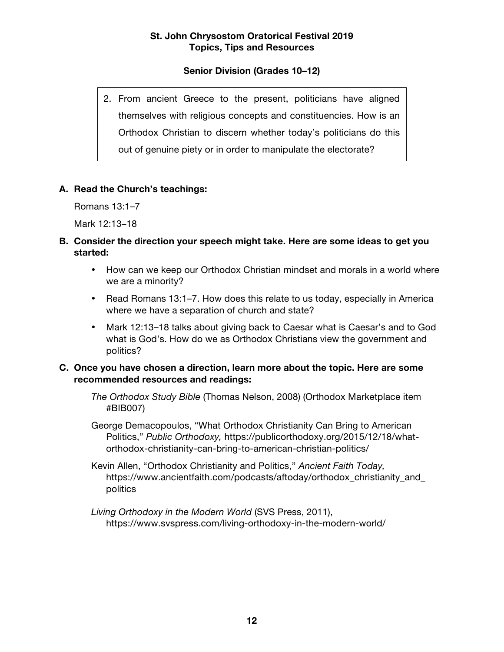# **Senior Division (Grades 10–12)**

2. From ancient Greece to the present, politicians have aligned themselves with religious concepts and constituencies. How is an Orthodox Christian to discern whether today's politicians do this out of genuine piety or in order to manipulate the electorate?

### **A. Read the Church's teachings:**

Romans 13:1–7

Mark 12:13–18

### **B. Consider the direction your speech might take. Here are some ideas to get you started:**

- How can we keep our Orthodox Christian mindset and morals in a world where we are a minority?
- Read Romans 13:1–7. How does this relate to us today, especially in America where we have a separation of church and state?
- Mark 12:13–18 talks about giving back to Caesar what is Caesar's and to God what is God's. How do we as Orthodox Christians view the government and politics?

- *The Orthodox Study Bible* (Thomas Nelson, 2008) (Orthodox Marketplace item #BIB007)
- George Demacopoulos, "What Orthodox Christianity Can Bring to American Politics," *Public Orthodoxy,* https://publicorthodoxy.org/2015/12/18/whatorthodox-christianity-can-bring-to-american-christian-politics/
- Kevin Allen, "Orthodox Christianity and Politics," *Ancient Faith Today,*  https://www.ancientfaith.com/podcasts/aftoday/orthodox\_christianity\_and\_ politics
- *Living Orthodoxy in the Modern World* (SVS Press, 2011), https://www.svspress.com/living-orthodoxy-in-the-modern-world/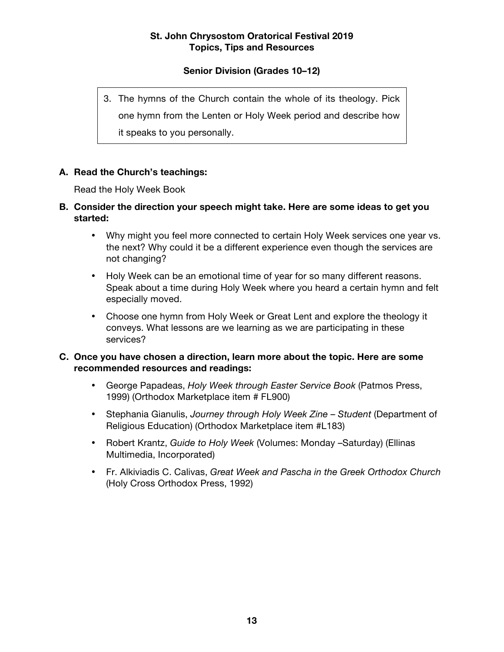# **Senior Division (Grades 10–12)**

3. The hymns of the Church contain the whole of its theology. Pick one hymn from the Lenten or Holy Week period and describe how it speaks to you personally.

### **A. Read the Church's teachings:**

Read the Holy Week Book

- **B. Consider the direction your speech might take. Here are some ideas to get you started:**
	- Why might you feel more connected to certain Holy Week services one year vs. the next? Why could it be a different experience even though the services are not changing?
	- Holy Week can be an emotional time of year for so many different reasons. Speak about a time during Holy Week where you heard a certain hymn and felt especially moved.
	- Choose one hymn from Holy Week or Great Lent and explore the theology it conveys. What lessons are we learning as we are participating in these services?

- George Papadeas, *Holy Week through Easter Service Book* (Patmos Press, 1999) (Orthodox Marketplace item # FL900)
- Stephania Gianulis, *Journey through Holy Week Zine – Student* (Department of Religious Education) (Orthodox Marketplace item #L183)
- Robert Krantz, *Guide to Holy Week* (Volumes: Monday –Saturday) (Ellinas Multimedia, Incorporated)
- Fr. Alkiviadis C. Calivas, *Great Week and Pascha in the Greek Orthodox Church* (Holy Cross Orthodox Press, 1992)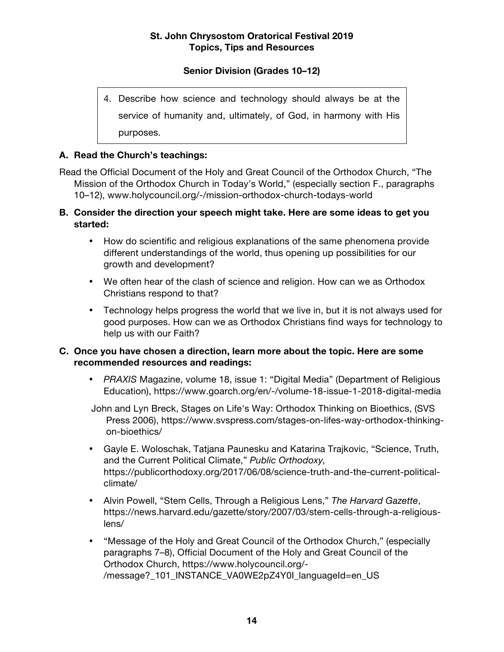# **Senior Division (Grades 10–12)**

4. Describe how science and technology should always be at the service of humanity and, ultimately, of God, in harmony with His purposes.

### **A. Read the Church's teachings:**

Read the Official Document of the Holy and Great Council of the Orthodox Church, "The Mission of the Orthodox Church in Today's World," (especially section F., paragraphs 10–12), www.holycouncil.org/-/mission-orthodox-church-todays-world

- **B. Consider the direction your speech might take. Here are some ideas to get you started:**
	- How do scientific and religious explanations of the same phenomena provide different understandings of the world, thus opening up possibilities for our growth and development?
	- We often hear of the clash of science and religion. How can we as Orthodox Christians respond to that?
	- Technology helps progress the world that we live in, but it is not always used for good purposes. How can we as Orthodox Christians find ways for technology to help us with our Faith?

- *PRAXIS* Magazine, volume 18, issue 1: "Digital Media" (Department of Religious Education), https://www.goarch.org/en/-/volume-18-issue-1-2018-digital-media
- John and Lyn Breck, Stages on Life's Way: Orthodox Thinking on Bioethics, (SVS Press 2006), https://www.svspress.com/stages-on-lifes-way-orthodox-thinkingon-bioethics/
- Gayle E. Woloschak, Tatjana Paunesku and Katarina Trajkovic, "Science, Truth, and the Current Political Climate," *Public Orthodoxy,* https://publicorthodoxy.org/2017/06/08/science-truth-and-the-current-politicalclimate/
- Alvin Powell, "Stem Cells, Through a Religious Lens," *The Harvard Gazette*, https://news.harvard.edu/gazette/story/2007/03/stem-cells-through-a-religiouslens/
- "Message of the Holy and Great Council of the Orthodox Church," (especially paragraphs 7–8), Official Document of the Holy and Great Council of the Orthodox Church, https://www.holycouncil.org/- /message?\_101\_INSTANCE\_VA0WE2pZ4Y0I\_languageId=en\_US